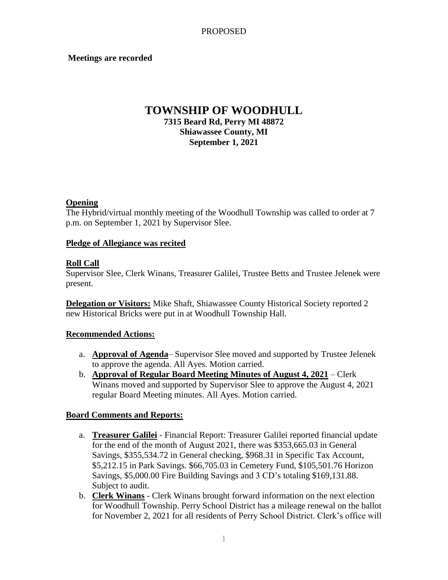### **Meetings are recorded**

# **TOWNSHIP OF WOODHULL 7315 Beard Rd, Perry MI 48872 Shiawassee County, MI September 1, 2021**

### **Opening**

The Hybrid/virtual monthly meeting of the Woodhull Township was called to order at 7 p.m. on September 1, 2021 by Supervisor Slee.

### **Pledge of Allegiance was recited**

### **Roll Call**

Supervisor Slee, Clerk Winans, Treasurer Galilei, Trustee Betts and Trustee Jelenek were present.

**Delegation or Visitors:** Mike Shaft, Shiawassee County Historical Society reported 2 new Historical Bricks were put in at Woodhull Township Hall.

### **Recommended Actions:**

- a. **Approval of Agenda** Supervisor Slee moved and supported by Trustee Jelenek to approve the agenda. All Ayes. Motion carried.
- b. **Approval of Regular Board Meeting Minutes of August 4, 2021** Clerk Winans moved and supported by Supervisor Slee to approve the August 4, 2021 regular Board Meeting minutes. All Ayes. Motion carried.

### **Board Comments and Reports:**

- a. **Treasurer Galilei** Financial Report: Treasurer Galilei reported financial update for the end of the month of August 2021, there was \$353,665.03 in General Savings, \$355,534.72 in General checking, \$968.31 in Specific Tax Account, \$5,212.15 in Park Savings. \$66,705.03 in Cemetery Fund, \$105,501.76 Horizon Savings, \$5,000.00 Fire Building Savings and 3 CD's totaling \$169,131.88. Subject to audit.
- b. **Clerk Winans** Clerk Winans brought forward information on the next election for Woodhull Township. Perry School District has a mileage renewal on the ballot for November 2, 2021 for all residents of Perry School District. Clerk's office will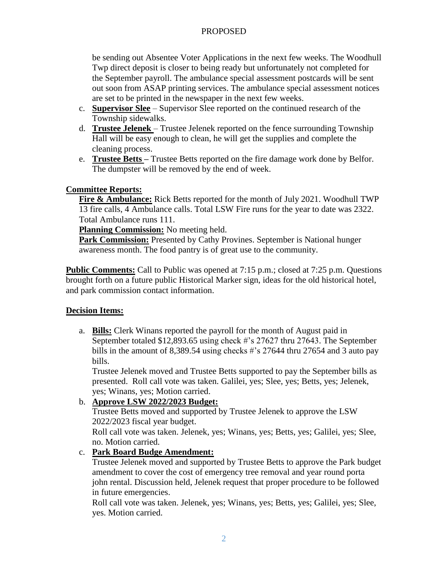### PROPOSED

be sending out Absentee Voter Applications in the next few weeks. The Woodhull Twp direct deposit is closer to being ready but unfortunately not completed for the September payroll. The ambulance special assessment postcards will be sent out soon from ASAP printing services. The ambulance special assessment notices are set to be printed in the newspaper in the next few weeks.

- c. **Supervisor Slee** Supervisor Slee reported on the continued research of the Township sidewalks.
- d. **Trustee Jelenek**  Trustee Jelenek reported on the fence surrounding Township Hall will be easy enough to clean, he will get the supplies and complete the cleaning process.
- e. **Trustee Betts –** Trustee Betts reported on the fire damage work done by Belfor. The dumpster will be removed by the end of week.

## **Committee Reports:**

**Fire & Ambulance:** Rick Betts reported for the month of July 2021. Woodhull TWP 13 fire calls, 4 Ambulance calls. Total LSW Fire runs for the year to date was 2322. Total Ambulance runs 111.

**Planning Commission:** No meeting held.

**Park Commission:** Presented by Cathy Provines. September is National hunger awareness month. The food pantry is of great use to the community.

**Public Comments:** Call to Public was opened at 7:15 p.m.; closed at 7:25 p.m. Ouestions brought forth on a future public Historical Marker sign, ideas for the old historical hotel, and park commission contact information.

## **Decision Items:**

a. **Bills:** Clerk Winans reported the payroll for the month of August paid in September totaled \$12,893.65 using check #'s 27627 thru 27643. The September bills in the amount of 8,389.54 using checks #'s 27644 thru 27654 and 3 auto pay bills.

Trustee Jelenek moved and Trustee Betts supported to pay the September bills as presented. Roll call vote was taken. Galilei, yes; Slee, yes; Betts, yes; Jelenek, yes; Winans, yes; Motion carried.

## b. **Approve LSW 2022/2023 Budget:**

Trustee Betts moved and supported by Trustee Jelenek to approve the LSW 2022/2023 fiscal year budget.

Roll call vote was taken. Jelenek, yes; Winans, yes; Betts, yes; Galilei, yes; Slee, no. Motion carried.

## c. **Park Board Budge Amendment:**

Trustee Jelenek moved and supported by Trustee Betts to approve the Park budget amendment to cover the cost of emergency tree removal and year round porta john rental. Discussion held, Jelenek request that proper procedure to be followed in future emergencies.

Roll call vote was taken. Jelenek, yes; Winans, yes; Betts, yes; Galilei, yes; Slee, yes. Motion carried.